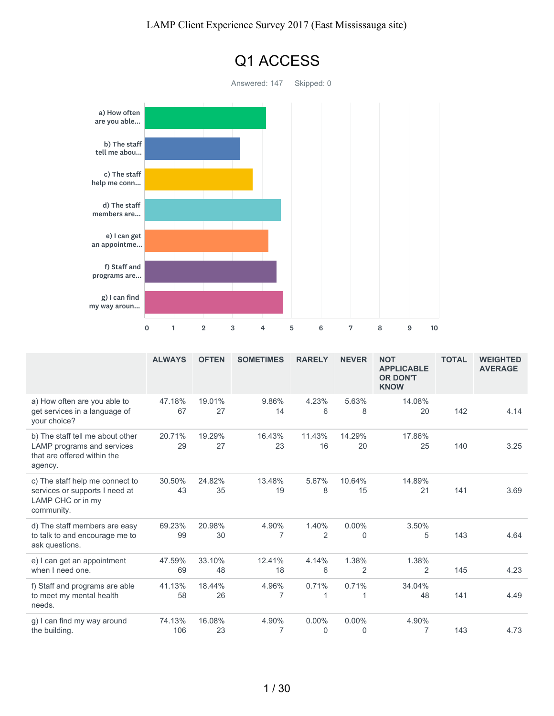

|                                                                                                          | <b>ALWAYS</b> | <b>OFTEN</b> | <b>SOMETIMES</b> | <b>RARELY</b>        | <b>NEVER</b>             | <b>NOT</b><br><b>APPLICABLE</b><br><b>OR DON'T</b><br><b>KNOW</b> | <b>TOTAL</b> | <b>WEIGHTED</b><br><b>AVERAGE</b> |
|----------------------------------------------------------------------------------------------------------|---------------|--------------|------------------|----------------------|--------------------------|-------------------------------------------------------------------|--------------|-----------------------------------|
| a) How often are you able to<br>get services in a language of<br>your choice?                            | 47.18%<br>67  | 19.01%<br>27 | 9.86%<br>14      | 4.23%<br>6           | 5.63%<br>8               | 14.08%<br>20                                                      | 142          | 4.14                              |
| b) The staff tell me about other<br>LAMP programs and services<br>that are offered within the<br>agency. | 20.71%<br>29  | 19.29%<br>27 | 16.43%<br>23     | 11.43%<br>16         | 14.29%<br>20             | 17.86%<br>25                                                      | 140          | 3.25                              |
| c) The staff help me connect to<br>services or supports I need at<br>LAMP CHC or in my<br>community.     | 30.50%<br>43  | 24.82%<br>35 | 13.48%<br>19     | 5.67%<br>8           | 10.64%<br>15             | 14.89%<br>21                                                      | 141          | 3.69                              |
| d) The staff members are easy<br>to talk to and encourage me to<br>ask questions.                        | 69.23%<br>99  | 20.98%<br>30 | 4.90%<br>7       | 1.40%<br>2           | $0.00\%$<br>$\mathbf 0$  | 3.50%<br>5                                                        | 143          | 4.64                              |
| e) I can get an appointment<br>when I need one.                                                          | 47.59%<br>69  | 33.10%<br>48 | 12.41%<br>18     | 4.14%<br>6           | 1.38%<br>$\overline{2}$  | 1.38%<br>$\overline{2}$                                           | 145          | 4.23                              |
| f) Staff and programs are able<br>to meet my mental health<br>needs.                                     | 41.13%<br>58  | 18.44%<br>26 | 4.96%<br>7       | 0.71%                | 0.71%<br>1               | 34.04%<br>48                                                      | 141          | 4.49                              |
| g) I can find my way around<br>the building.                                                             | 74.13%<br>106 | 16.08%<br>23 | 4.90%<br>7       | $0.00\%$<br>$\Omega$ | $0.00\%$<br>$\mathbf{0}$ | 4.90%<br>7                                                        | 143          | 4.73                              |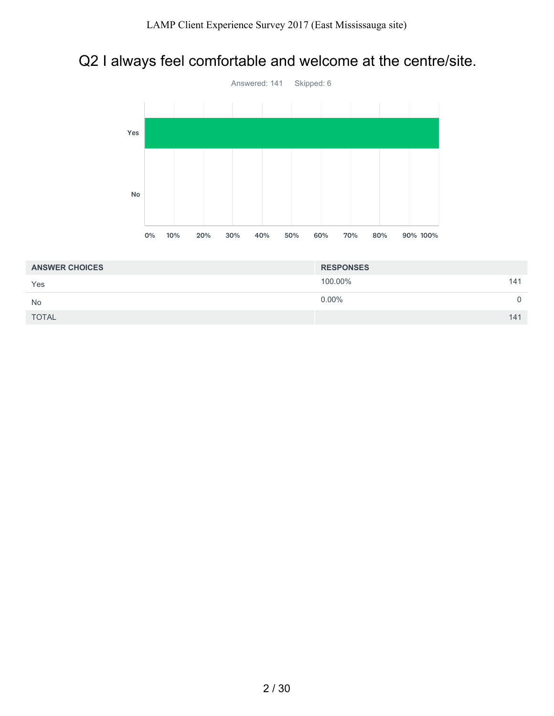# Q2 I always feel comfortable and welcome at the centre/site.



| <b>ANSWER CHOICES</b> | <b>RESPONSES</b> |     |
|-----------------------|------------------|-----|
| Yes                   | 100.00%          | 141 |
| <b>No</b>             | $0.00\%$         |     |
| <b>TOTAL</b>          |                  | 141 |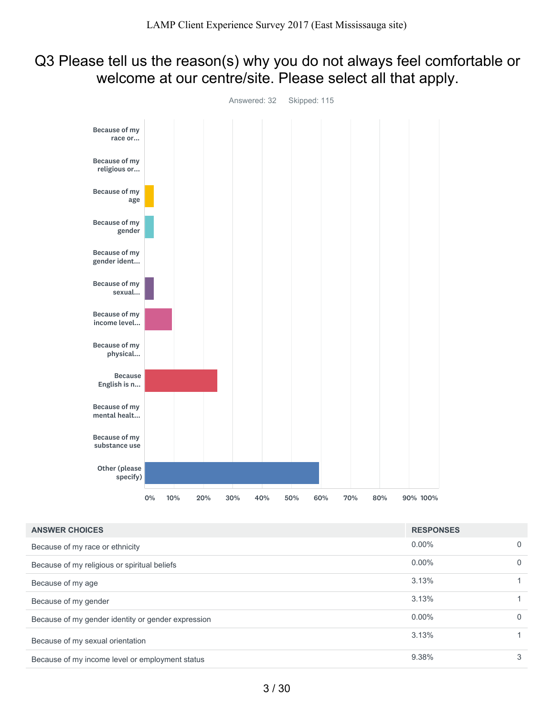# Q3 Please tell us the reason(s) why you do not always feel comfortable or welcome at our centre/site. Please select all that apply.



| <b>ANSWER CHOICES</b>                              | <b>RESPONSES</b> |          |
|----------------------------------------------------|------------------|----------|
| Because of my race or ethnicity                    | $0.00\%$         | $\Omega$ |
| Because of my religious or spiritual beliefs       | $0.00\%$         | $\Omega$ |
| Because of my age                                  | 3.13%            |          |
| Because of my gender                               | 3.13%            |          |
| Because of my gender identity or gender expression | $0.00\%$         | $\Omega$ |
| Because of my sexual orientation                   | 3.13%            |          |
| Because of my income level or employment status    | 9.38%            | 3        |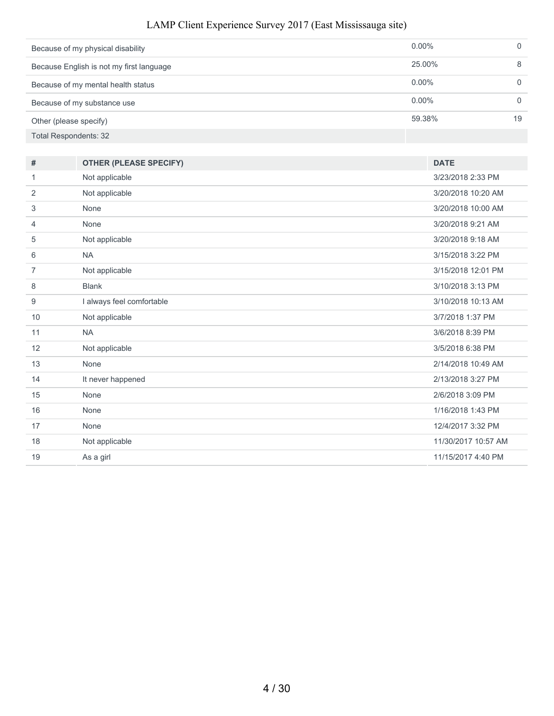| Because of my physical disability        | $0.00\%$ |    |
|------------------------------------------|----------|----|
| Because English is not my first language | 25.00%   | 8  |
| Because of my mental health status       | $0.00\%$ |    |
| Because of my substance use              | $0.00\%$ |    |
| Other (please specify)                   | 59.38%   | 19 |
| Total Respondents: 32                    |          |    |

| #              | <b>OTHER (PLEASE SPECIFY)</b> | <b>DATE</b>         |
|----------------|-------------------------------|---------------------|
| 1              | Not applicable                | 3/23/2018 2:33 PM   |
| 2              | Not applicable                | 3/20/2018 10:20 AM  |
| 3              | None                          | 3/20/2018 10:00 AM  |
| 4              | None                          | 3/20/2018 9:21 AM   |
| 5              | Not applicable                | 3/20/2018 9:18 AM   |
| 6              | <b>NA</b>                     | 3/15/2018 3:22 PM   |
| $\overline{7}$ | Not applicable                | 3/15/2018 12:01 PM  |
| 8              | <b>Blank</b>                  | 3/10/2018 3:13 PM   |
| 9              | I always feel comfortable     | 3/10/2018 10:13 AM  |
| 10             | Not applicable                | 3/7/2018 1:37 PM    |
| 11             | <b>NA</b>                     | 3/6/2018 8:39 PM    |
| 12             | Not applicable                | 3/5/2018 6:38 PM    |
| 13             | None                          | 2/14/2018 10:49 AM  |
| 14             | It never happened             | 2/13/2018 3:27 PM   |
| 15             | None                          | 2/6/2018 3:09 PM    |
| 16             | None                          | 1/16/2018 1:43 PM   |
| 17             | None                          | 12/4/2017 3:32 PM   |
| 18             | Not applicable                | 11/30/2017 10:57 AM |
| 19             | As a girl                     | 11/15/2017 4:40 PM  |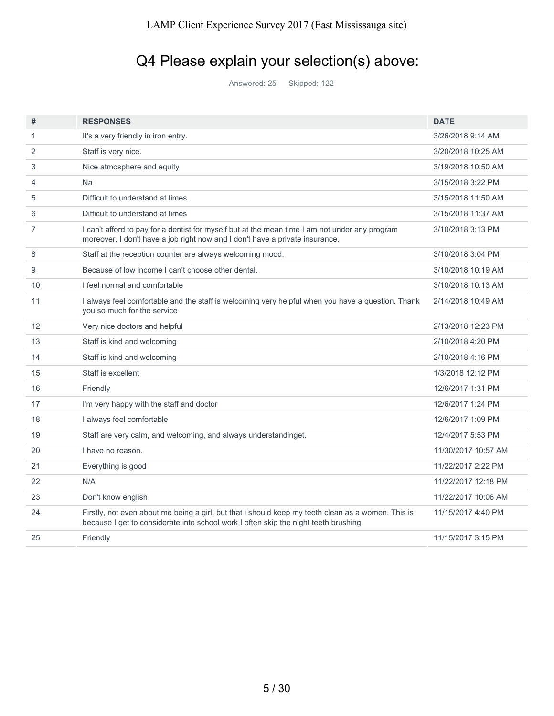# Q4 Please explain your selection(s) above:

Answered: 25 Skipped: 122

| #  | <b>RESPONSES</b>                                                                                                                                                                           | <b>DATE</b>         |
|----|--------------------------------------------------------------------------------------------------------------------------------------------------------------------------------------------|---------------------|
| 1  | It's a very friendly in iron entry.                                                                                                                                                        | 3/26/2018 9:14 AM   |
| 2  | Staff is very nice.                                                                                                                                                                        | 3/20/2018 10:25 AM  |
| 3  | Nice atmosphere and equity                                                                                                                                                                 | 3/19/2018 10:50 AM  |
| 4  | Na                                                                                                                                                                                         | 3/15/2018 3:22 PM   |
| 5  | Difficult to understand at times.                                                                                                                                                          | 3/15/2018 11:50 AM  |
| 6  | Difficult to understand at times                                                                                                                                                           | 3/15/2018 11:37 AM  |
| 7  | I can't afford to pay for a dentist for myself but at the mean time I am not under any program<br>moreover, I don't have a job right now and I don't have a private insurance.             | 3/10/2018 3:13 PM   |
| 8  | Staff at the reception counter are always welcoming mood.                                                                                                                                  | 3/10/2018 3:04 PM   |
| 9  | Because of low income I can't choose other dental.                                                                                                                                         | 3/10/2018 10:19 AM  |
| 10 | I feel normal and comfortable                                                                                                                                                              | 3/10/2018 10:13 AM  |
| 11 | I always feel comfortable and the staff is welcoming very helpful when you have a question. Thank<br>you so much for the service                                                           | 2/14/2018 10:49 AM  |
| 12 | Very nice doctors and helpful                                                                                                                                                              | 2/13/2018 12:23 PM  |
| 13 | Staff is kind and welcoming                                                                                                                                                                | 2/10/2018 4:20 PM   |
| 14 | Staff is kind and welcoming                                                                                                                                                                | 2/10/2018 4:16 PM   |
| 15 | Staff is excellent                                                                                                                                                                         | 1/3/2018 12:12 PM   |
| 16 | Friendly                                                                                                                                                                                   | 12/6/2017 1:31 PM   |
| 17 | I'm very happy with the staff and doctor                                                                                                                                                   | 12/6/2017 1:24 PM   |
| 18 | I always feel comfortable                                                                                                                                                                  | 12/6/2017 1:09 PM   |
| 19 | Staff are very calm, and welcoming, and always understandinget.                                                                                                                            | 12/4/2017 5:53 PM   |
| 20 | I have no reason.                                                                                                                                                                          | 11/30/2017 10:57 AM |
| 21 | Everything is good                                                                                                                                                                         | 11/22/2017 2:22 PM  |
| 22 | N/A                                                                                                                                                                                        | 11/22/2017 12:18 PM |
| 23 | Don't know english                                                                                                                                                                         | 11/22/2017 10:06 AM |
| 24 | Firstly, not even about me being a girl, but that i should keep my teeth clean as a women. This is<br>because I get to considerate into school work I often skip the night teeth brushing. | 11/15/2017 4:40 PM  |
| 25 | Friendly                                                                                                                                                                                   | 11/15/2017 3:15 PM  |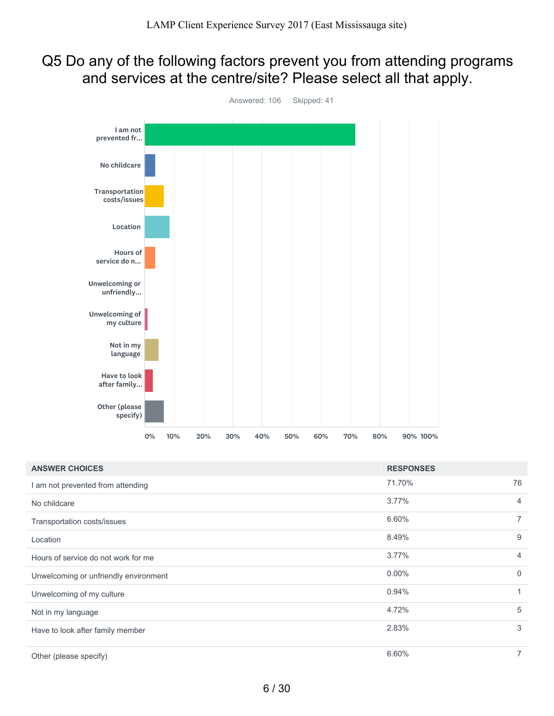### Q5 Do any of the following factors prevent you from attending programs and services at the centre/site? Please select all that apply.



| <b>ANSWER CHOICES</b>                 | <b>RESPONSES</b> |                |
|---------------------------------------|------------------|----------------|
| I am not prevented from attending     | 71.70%           | 76             |
| No childcare                          | 3.77%            | $\overline{4}$ |
| Transportation costs/issues           | 6.60%            | $\overline{7}$ |
| Location                              | 8.49%            | 9              |
| Hours of service do not work for me   | $3.77\%$         | $\overline{4}$ |
| Unwelcoming or unfriendly environment | $0.00\%$         | $\overline{0}$ |
| Unwelcoming of my culture             | 0.94%            | 1              |
| Not in my language                    | 4.72%            | 5              |
| Have to look after family member      | 2.83%            | 3              |
| Other (please specify)                | 6.60%            | 7              |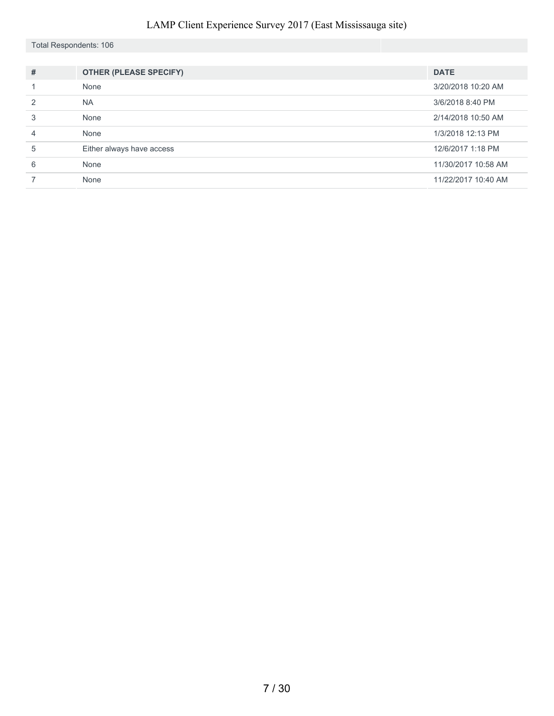Total Respondents: 106

| $\#$          | <b>OTHER (PLEASE SPECIFY)</b> | <b>DATE</b>         |
|---------------|-------------------------------|---------------------|
|               | None                          | 3/20/2018 10:20 AM  |
| $\mathcal{P}$ | <b>NA</b>                     | 3/6/2018 8:40 PM    |
| 3             | None                          | 2/14/2018 10:50 AM  |
| 4             | None                          | 1/3/2018 12:13 PM   |
| 5             | Either always have access     | 12/6/2017 1:18 PM   |
| 6             | None                          | 11/30/2017 10:58 AM |
|               | None                          | 11/22/2017 10:40 AM |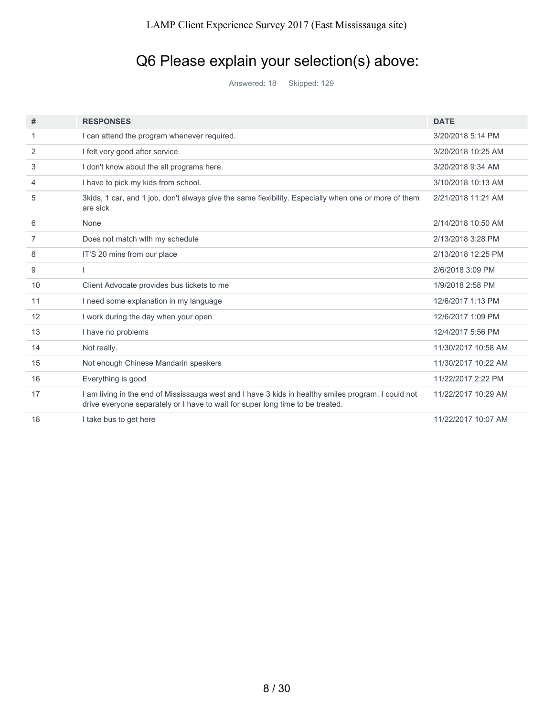# Q6 Please explain your selection(s) above:

Answered: 18 Skipped: 129

| #  | <b>RESPONSES</b>                                                                                                                                                                      | <b>DATE</b>         |
|----|---------------------------------------------------------------------------------------------------------------------------------------------------------------------------------------|---------------------|
| 1  | I can attend the program whenever required.                                                                                                                                           | 3/20/2018 5:14 PM   |
| 2  | I felt very good after service.                                                                                                                                                       | 3/20/2018 10:25 AM  |
| 3  | I don't know about the all programs here.                                                                                                                                             | 3/20/2018 9:34 AM   |
| 4  | I have to pick my kids from school.                                                                                                                                                   | 3/10/2018 10:13 AM  |
| 5  | 3kids, 1 car, and 1 job, don't always give the same flexibility. Especially when one or more of them<br>are sick                                                                      | 2/21/2018 11:21 AM  |
| 6  | None                                                                                                                                                                                  | 2/14/2018 10:50 AM  |
| 7  | Does not match with my schedule                                                                                                                                                       | 2/13/2018 3:28 PM   |
| 8  | IT'S 20 mins from our place                                                                                                                                                           | 2/13/2018 12:25 PM  |
| 9  |                                                                                                                                                                                       | 2/6/2018 3:09 PM    |
| 10 | Client Advocate provides bus tickets to me                                                                                                                                            | 1/9/2018 2:58 PM    |
| 11 | I need some explanation in my language                                                                                                                                                | 12/6/2017 1:13 PM   |
| 12 | I work during the day when your open                                                                                                                                                  | 12/6/2017 1:09 PM   |
| 13 | I have no problems                                                                                                                                                                    | 12/4/2017 5:56 PM   |
| 14 | Not really.                                                                                                                                                                           | 11/30/2017 10:58 AM |
| 15 | Not enough Chinese Mandarin speakers                                                                                                                                                  | 11/30/2017 10:22 AM |
| 16 | Everything is good                                                                                                                                                                    | 11/22/2017 2:22 PM  |
| 17 | I am living in the end of Mississauga west and I have 3 kids in healthy smiles program. I could not<br>drive everyone separately or I have to wait for super long time to be treated. | 11/22/2017 10:29 AM |
| 18 | I take bus to get here                                                                                                                                                                | 11/22/2017 10:07 AM |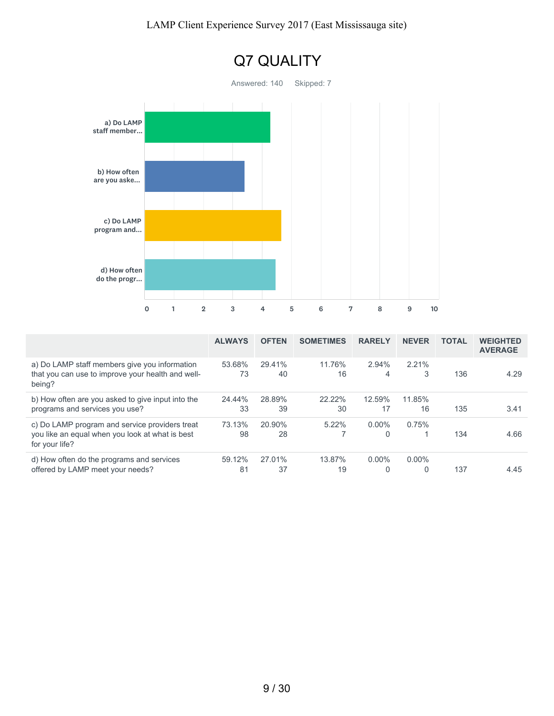

|                                                                                                                     | <b>ALWAYS</b> | <b>OFTEN</b> | <b>SOMETIMES</b> | <b>RARELY</b>        | <b>NEVER</b>  | <b>TOTAL</b> | <b>WEIGHTED</b><br><b>AVERAGE</b> |
|---------------------------------------------------------------------------------------------------------------------|---------------|--------------|------------------|----------------------|---------------|--------------|-----------------------------------|
| a) Do LAMP staff members give you information<br>that you can use to improve your health and well-<br>being?        | 53.68%<br>73  | 29.41%<br>40 | 11.76%<br>16     | 2.94%<br>4           | 2.21%<br>3    | 136          | 4.29                              |
| b) How often are you asked to give input into the<br>programs and services you use?                                 | 24.44%<br>33  | 28.89%<br>39 | 22.22%<br>30     | 12.59%<br>17         | 11.85%<br>16  | 135          | 3.41                              |
| c) Do LAMP program and service providers treat<br>you like an equal when you look at what is best<br>for your life? | 73.13%<br>98  | 20.90%<br>28 | 5.22%            | $0.00\%$<br>$\Omega$ | 0.75%         | 134          | 4.66                              |
| d) How often do the programs and services<br>offered by LAMP meet your needs?                                       | 59.12%<br>81  | 27.01%<br>37 | 13.87%<br>19     | $0.00\%$<br>$\Omega$ | $0.00\%$<br>0 | 137          | 4.45                              |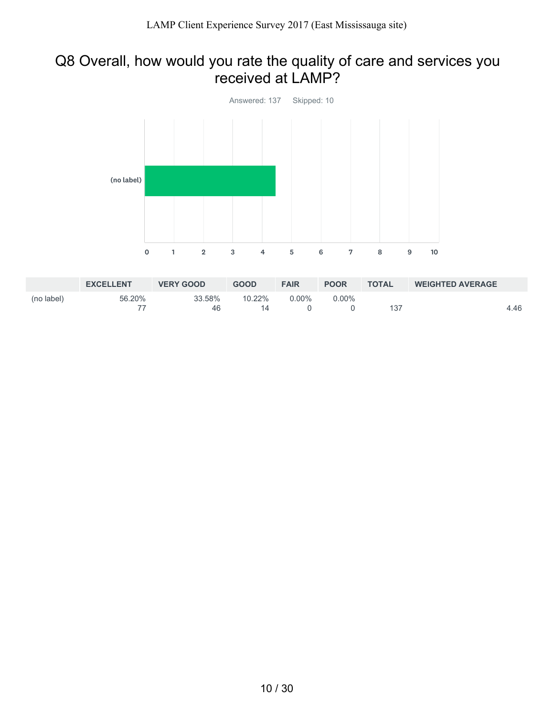### Q8 Overall, how would you rate the quality of care and services you received at LAMP?



|            | <b>EXCELLENT</b> | <b>VERY GOOD</b> | <b>GOOD</b> | <b>FAIR</b> | <b>POOR</b> | <b>TOTAL</b> | <b>WEIGHTED AVERAGE</b> |      |
|------------|------------------|------------------|-------------|-------------|-------------|--------------|-------------------------|------|
| (no label) | 56.20%           | 33.58%           | 10.22%      | $0.00\%$    | $0.00\%$    |              |                         |      |
|            |                  | 46               | 14          |             |             | 137          |                         | 4.46 |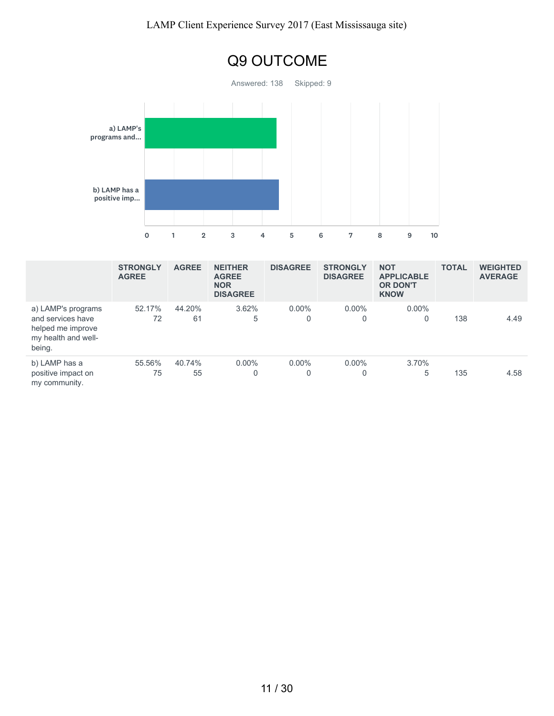

|                                                                                               | <b>STRONGLY</b><br><b>AGREE</b> | <b>AGREE</b> | <b>NEITHER</b><br><b>AGREE</b><br><b>NOR</b><br><b>DISAGREE</b> | <b>DISAGREE</b> | <b>STRONGLY</b><br><b>DISAGREE</b> | <b>NOT</b><br><b>APPLICABLE</b><br><b>OR DON'T</b><br><b>KNOW</b> | <b>TOTAL</b> | <b>WEIGHTED</b><br><b>AVERAGE</b> |
|-----------------------------------------------------------------------------------------------|---------------------------------|--------------|-----------------------------------------------------------------|-----------------|------------------------------------|-------------------------------------------------------------------|--------------|-----------------------------------|
| a) LAMP's programs<br>and services have<br>helped me improve<br>my health and well-<br>being. | 52.17%<br>72                    | 44.20%<br>61 | 3.62%<br>5                                                      | $0.00\%$<br>0   | $0.00\%$<br>0                      | $0.00\%$                                                          | 138          | 4.49                              |
| b) LAMP has a<br>positive impact on<br>my community.                                          | 55.56%<br>75                    | 40.74%<br>55 | $0.00\%$<br>0                                                   | $0.00\%$<br>0   | $0.00\%$<br>0                      | 3.70%<br>5                                                        | 135          | 4.58                              |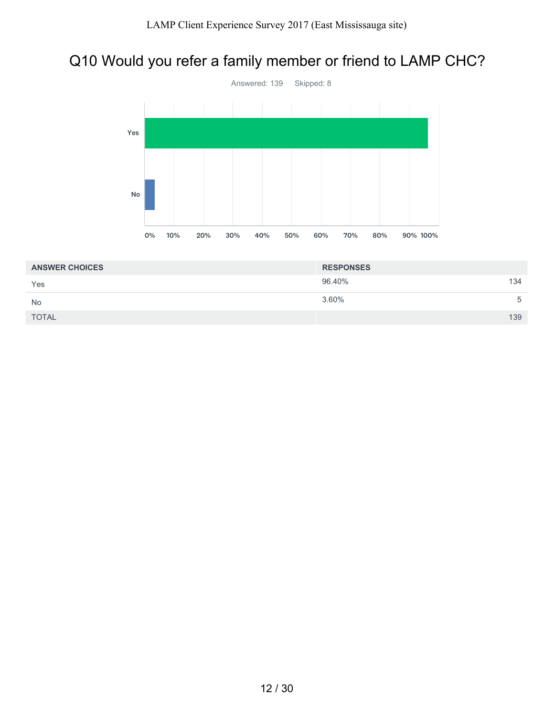# Q10 Would you refer a family member or friend to LAMP CHC?



| <b>ANSWER CHOICES</b> | <b>RESPONSES</b> |     |
|-----------------------|------------------|-----|
| Yes                   | 96.40%           | 134 |
| <b>No</b>             | 3.60%            | 5   |
| <b>TOTAL</b>          |                  | 139 |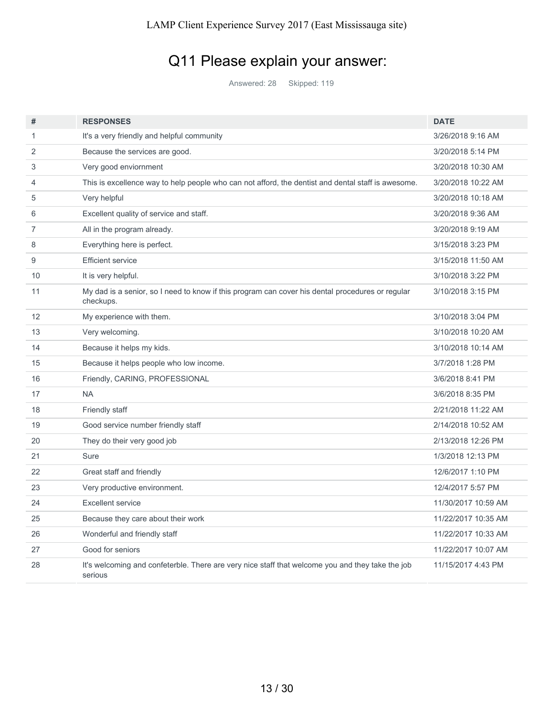# Q11 Please explain your answer:

Answered: 28 Skipped: 119

| #              | <b>RESPONSES</b>                                                                                              | <b>DATE</b>         |
|----------------|---------------------------------------------------------------------------------------------------------------|---------------------|
| 1              | It's a very friendly and helpful community                                                                    | 3/26/2018 9:16 AM   |
| $\overline{2}$ | Because the services are good.                                                                                | 3/20/2018 5:14 PM   |
| 3              | Very good enviornment                                                                                         | 3/20/2018 10:30 AM  |
| 4              | This is excellence way to help people who can not afford, the dentist and dental staff is awesome.            | 3/20/2018 10:22 AM  |
| 5              | Very helpful                                                                                                  | 3/20/2018 10:18 AM  |
| 6              | Excellent quality of service and staff.                                                                       | 3/20/2018 9:36 AM   |
| $\overline{7}$ | All in the program already.                                                                                   | 3/20/2018 9:19 AM   |
| 8              | Everything here is perfect.                                                                                   | 3/15/2018 3:23 PM   |
| 9              | <b>Efficient service</b>                                                                                      | 3/15/2018 11:50 AM  |
| 10             | It is very helpful.                                                                                           | 3/10/2018 3:22 PM   |
| 11             | My dad is a senior, so I need to know if this program can cover his dental procedures or regular<br>checkups. | 3/10/2018 3:15 PM   |
| 12             | My experience with them.                                                                                      | 3/10/2018 3:04 PM   |
| 13             | Very welcoming.                                                                                               | 3/10/2018 10:20 AM  |
| 14             | Because it helps my kids.                                                                                     | 3/10/2018 10:14 AM  |
| 15             | Because it helps people who low income.                                                                       | 3/7/2018 1:28 PM    |
| 16             | Friendly, CARING, PROFESSIONAL                                                                                | 3/6/2018 8:41 PM    |
| 17             | <b>NA</b>                                                                                                     | 3/6/2018 8:35 PM    |
| 18             | Friendly staff                                                                                                | 2/21/2018 11:22 AM  |
| 19             | Good service number friendly staff                                                                            | 2/14/2018 10:52 AM  |
| 20             | They do their very good job                                                                                   | 2/13/2018 12:26 PM  |
| 21             | Sure                                                                                                          | 1/3/2018 12:13 PM   |
| 22             | Great staff and friendly                                                                                      | 12/6/2017 1:10 PM   |
| 23             | Very productive environment.                                                                                  | 12/4/2017 5:57 PM   |
| 24             | Excellent service                                                                                             | 11/30/2017 10:59 AM |
| 25             | Because they care about their work                                                                            | 11/22/2017 10:35 AM |
| 26             | Wonderful and friendly staff                                                                                  | 11/22/2017 10:33 AM |
| 27             | Good for seniors                                                                                              | 11/22/2017 10:07 AM |
| 28             | It's welcoming and confeterble. There are very nice staff that welcome you and they take the job<br>serious   | 11/15/2017 4:43 PM  |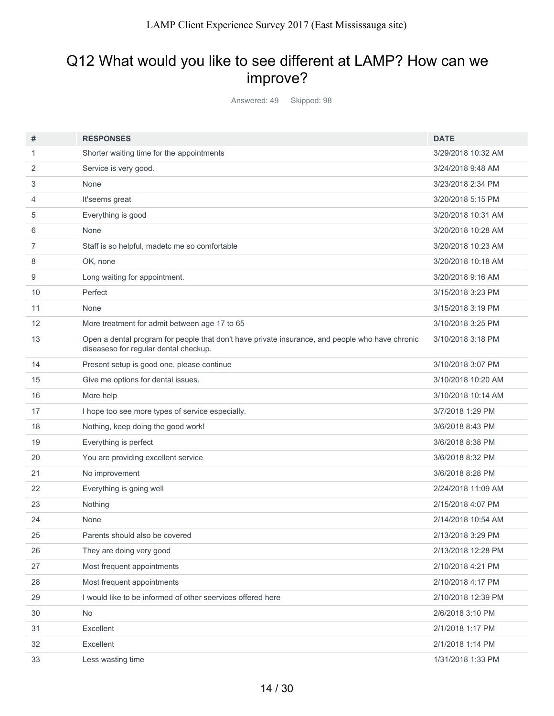## Q12 What would you like to see different at LAMP? How can we improve?

Answered: 49 Skipped: 98

| #  | <b>RESPONSES</b>                                                                                                                         | <b>DATE</b>        |
|----|------------------------------------------------------------------------------------------------------------------------------------------|--------------------|
| 1  | Shorter waiting time for the appointments                                                                                                | 3/29/2018 10:32 AM |
| 2  | Service is very good.                                                                                                                    | 3/24/2018 9:48 AM  |
| 3  | None                                                                                                                                     | 3/23/2018 2:34 PM  |
| 4  | It'seems great                                                                                                                           | 3/20/2018 5:15 PM  |
| 5  | Everything is good                                                                                                                       | 3/20/2018 10:31 AM |
| 6  | None                                                                                                                                     | 3/20/2018 10:28 AM |
| 7  | Staff is so helpful, madetc me so comfortable                                                                                            | 3/20/2018 10:23 AM |
| 8  | OK, none                                                                                                                                 | 3/20/2018 10:18 AM |
| 9  | Long waiting for appointment.                                                                                                            | 3/20/2018 9:16 AM  |
| 10 | Perfect                                                                                                                                  | 3/15/2018 3:23 PM  |
| 11 | None                                                                                                                                     | 3/15/2018 3:19 PM  |
| 12 | More treatment for admit between age 17 to 65                                                                                            | 3/10/2018 3:25 PM  |
| 13 | Open a dental program for people that don't have private insurance, and people who have chronic<br>diseaseso for regular dental checkup. | 3/10/2018 3:18 PM  |
| 14 | Present setup is good one, please continue                                                                                               | 3/10/2018 3:07 PM  |
| 15 | Give me options for dental issues.                                                                                                       | 3/10/2018 10:20 AM |
| 16 | More help                                                                                                                                | 3/10/2018 10:14 AM |
| 17 | I hope too see more types of service especially.                                                                                         | 3/7/2018 1:29 PM   |
| 18 | Nothing, keep doing the good work!                                                                                                       | 3/6/2018 8:43 PM   |
| 19 | Everything is perfect                                                                                                                    | 3/6/2018 8:38 PM   |
| 20 | You are providing excellent service                                                                                                      | 3/6/2018 8:32 PM   |
| 21 | No improvement                                                                                                                           | 3/6/2018 8:28 PM   |
| 22 | Everything is going well                                                                                                                 | 2/24/2018 11:09 AM |
| 23 | Nothing                                                                                                                                  | 2/15/2018 4:07 PM  |
| 24 | None                                                                                                                                     | 2/14/2018 10:54 AM |
| 25 | Parents should also be covered                                                                                                           | 2/13/2018 3:29 PM  |
| 26 | They are doing very good                                                                                                                 | 2/13/2018 12:28 PM |
| 27 | Most frequent appointments                                                                                                               | 2/10/2018 4:21 PM  |
| 28 | Most frequent appointments                                                                                                               | 2/10/2018 4:17 PM  |
| 29 | I would like to be informed of other seervices offered here                                                                              | 2/10/2018 12:39 PM |
| 30 | No                                                                                                                                       | 2/6/2018 3:10 PM   |
| 31 | Excellent                                                                                                                                | 2/1/2018 1:17 PM   |
| 32 | Excellent                                                                                                                                | 2/1/2018 1:14 PM   |
| 33 | Less wasting time                                                                                                                        | 1/31/2018 1:33 PM  |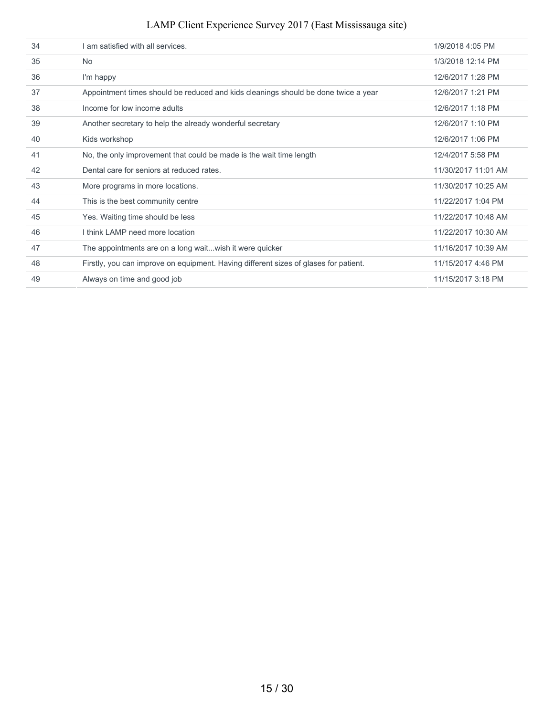| 34 | am satisfied with all services.                                                      | 1/9/2018 4:05 PM    |
|----|--------------------------------------------------------------------------------------|---------------------|
| 35 | <b>No</b>                                                                            | 1/3/2018 12:14 PM   |
| 36 | I'm happy                                                                            | 12/6/2017 1:28 PM   |
| 37 | Appointment times should be reduced and kids cleanings should be done twice a year   | 12/6/2017 1:21 PM   |
| 38 | Income for low income adults                                                         | 12/6/2017 1:18 PM   |
| 39 | Another secretary to help the already wonderful secretary                            | 12/6/2017 1:10 PM   |
| 40 | Kids workshop                                                                        | 12/6/2017 1:06 PM   |
| 41 | No, the only improvement that could be made is the wait time length                  | 12/4/2017 5:58 PM   |
| 42 | Dental care for seniors at reduced rates.                                            | 11/30/2017 11:01 AM |
| 43 | More programs in more locations.                                                     | 11/30/2017 10:25 AM |
| 44 | This is the best community centre                                                    | 11/22/2017 1:04 PM  |
| 45 | Yes. Waiting time should be less                                                     | 11/22/2017 10:48 AM |
| 46 | I think I AMP need more location                                                     | 11/22/2017 10:30 AM |
| 47 | The appointments are on a long waitwish it were quicker                              | 11/16/2017 10:39 AM |
| 48 | Firstly, you can improve on equipment. Having different sizes of glases for patient. | 11/15/2017 4:46 PM  |
| 49 | Always on time and good job                                                          | 11/15/2017 3:18 PM  |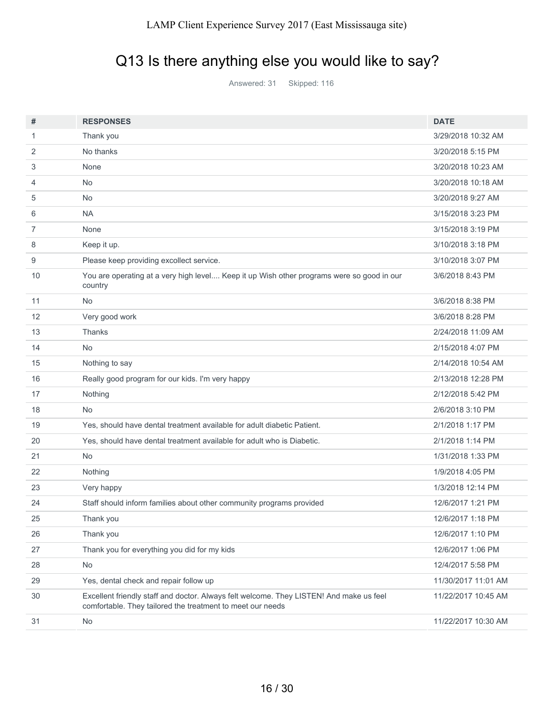# Q13 Is there anything else you would like to say?

Answered: 31 Skipped: 116

| #  | <b>RESPONSES</b>                                                                                                                                      | <b>DATE</b>         |
|----|-------------------------------------------------------------------------------------------------------------------------------------------------------|---------------------|
| 1  | Thank you                                                                                                                                             | 3/29/2018 10:32 AM  |
| 2  | No thanks                                                                                                                                             | 3/20/2018 5:15 PM   |
| 3  | None                                                                                                                                                  | 3/20/2018 10:23 AM  |
| 4  | <b>No</b>                                                                                                                                             | 3/20/2018 10:18 AM  |
| 5  | No                                                                                                                                                    | 3/20/2018 9:27 AM   |
| 6  | <b>NA</b>                                                                                                                                             | 3/15/2018 3:23 PM   |
| 7  | None                                                                                                                                                  | 3/15/2018 3:19 PM   |
| 8  | Keep it up.                                                                                                                                           | 3/10/2018 3:18 PM   |
| 9  | Please keep providing excollect service.                                                                                                              | 3/10/2018 3:07 PM   |
| 10 | You are operating at a very high level Keep it up Wish other programs were so good in our<br>country                                                  | 3/6/2018 8:43 PM    |
| 11 | <b>No</b>                                                                                                                                             | 3/6/2018 8:38 PM    |
| 12 | Very good work                                                                                                                                        | 3/6/2018 8:28 PM    |
| 13 | Thanks                                                                                                                                                | 2/24/2018 11:09 AM  |
| 14 | <b>No</b>                                                                                                                                             | 2/15/2018 4:07 PM   |
| 15 | Nothing to say                                                                                                                                        | 2/14/2018 10:54 AM  |
| 16 | Really good program for our kids. I'm very happy                                                                                                      | 2/13/2018 12:28 PM  |
| 17 | Nothing                                                                                                                                               | 2/12/2018 5:42 PM   |
| 18 | <b>No</b>                                                                                                                                             | 2/6/2018 3:10 PM    |
| 19 | Yes, should have dental treatment available for adult diabetic Patient.                                                                               | 2/1/2018 1:17 PM    |
| 20 | Yes, should have dental treatment available for adult who is Diabetic.                                                                                | 2/1/2018 1:14 PM    |
| 21 | <b>No</b>                                                                                                                                             | 1/31/2018 1:33 PM   |
| 22 | Nothing                                                                                                                                               | 1/9/2018 4:05 PM    |
| 23 | Very happy                                                                                                                                            | 1/3/2018 12:14 PM   |
| 24 | Staff should inform families about other community programs provided                                                                                  | 12/6/2017 1:21 PM   |
| 25 | Thank you                                                                                                                                             | 12/6/2017 1:18 PM   |
| 26 | Thank you                                                                                                                                             | 12/6/2017 1:10 PM   |
| 27 | Thank you for everything you did for my kids                                                                                                          | 12/6/2017 1:06 PM   |
| 28 | No                                                                                                                                                    | 12/4/2017 5:58 PM   |
| 29 | Yes, dental check and repair follow up                                                                                                                | 11/30/2017 11:01 AM |
| 30 | Excellent friendly staff and doctor. Always felt welcome. They LISTEN! And make us feel<br>comfortable. They tailored the treatment to meet our needs | 11/22/2017 10:45 AM |
| 31 | No                                                                                                                                                    | 11/22/2017 10:30 AM |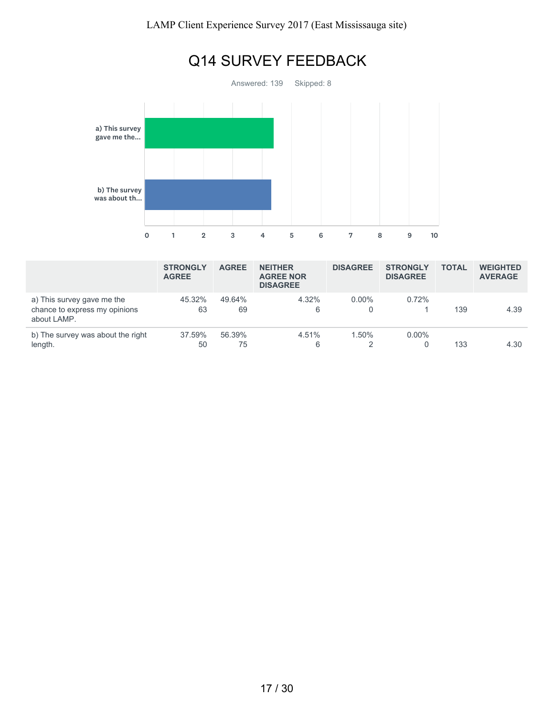

|                                                                            | <b>STRONGLY</b><br><b>AGREE</b> | <b>AGREE</b> | <b>NEITHER</b><br><b>AGREE NOR</b><br><b>DISAGREE</b> | <b>DISAGREE</b> | <b>STRONGLY</b><br><b>DISAGREE</b> | <b>TOTAL</b> | <b>WEIGHTED</b><br><b>AVERAGE</b> |
|----------------------------------------------------------------------------|---------------------------------|--------------|-------------------------------------------------------|-----------------|------------------------------------|--------------|-----------------------------------|
| a) This survey gave me the<br>chance to express my opinions<br>about LAMP. | 45.32%<br>63                    | 49.64%<br>69 | $4.32\%$<br>6                                         | $0.00\%$        | 0.72%                              | 139          | 4.39                              |
| b) The survey was about the right<br>length.                               | 37.59%<br>50                    | 56.39%<br>75 | 4.51%<br>6                                            | 1.50%           | $0.00\%$                           | 133          | 4.30                              |

17 / 30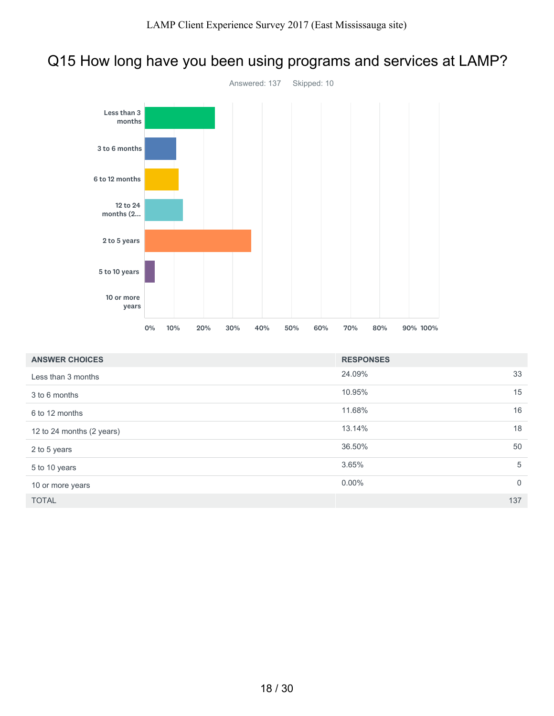### Q15 How long have you been using programs and services at LAMP?



| <b>ANSWER CHOICES</b>     | <b>RESPONSES</b> |                |
|---------------------------|------------------|----------------|
| Less than 3 months        | 24.09%           | 33             |
| 3 to 6 months             | 10.95%           | 15             |
| 6 to 12 months            | 11.68%           | 16             |
| 12 to 24 months (2 years) | 13.14%           | 18             |
| 2 to 5 years              | 36.50%           | 50             |
| 5 to 10 years             | 3.65%            | 5              |
| 10 or more years          | $0.00\%$         | $\overline{0}$ |
| <b>TOTAL</b>              |                  | 137            |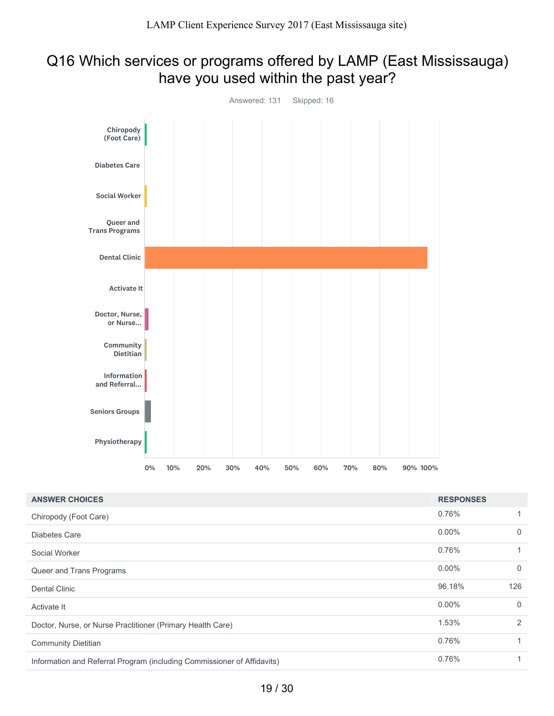## Q16 Which services or programs offered by LAMP (East Mississauga) have you used within the past year?



| <b>ANSWER CHOICES</b>                                                   | <b>RESPONSES</b> |              |
|-------------------------------------------------------------------------|------------------|--------------|
| Chiropody (Foot Care)                                                   | 0.76%            |              |
| Diabetes Care                                                           | $0.00\%$         | $\mathbf{0}$ |
| Social Worker                                                           | 0.76%            |              |
| Queer and Trans Programs                                                | $0.00\%$         | $\mathbf{0}$ |
| <b>Dental Clinic</b>                                                    | 96.18%           | 126          |
| Activate It                                                             | $0.00\%$         | $\mathbf{0}$ |
| Doctor, Nurse, or Nurse Practitioner (Primary Health Care)              | 1.53%            | 2            |
| <b>Community Dietitian</b>                                              | 0.76%            |              |
| Information and Referral Program (including Commissioner of Affidavits) | 0.76%            |              |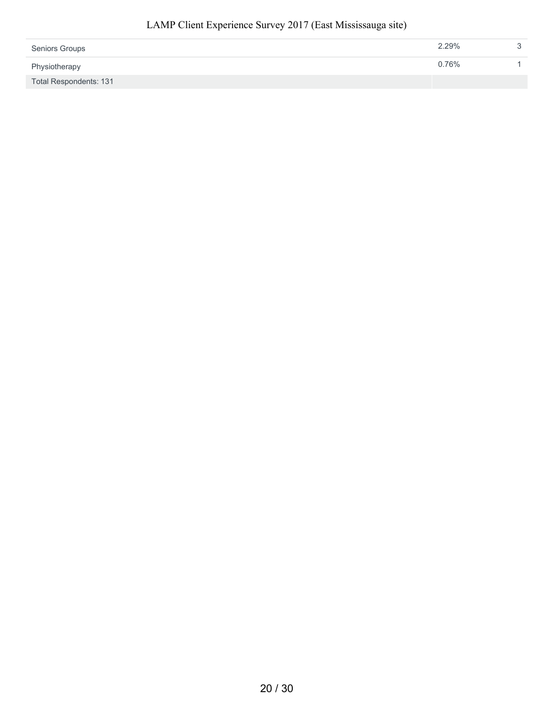| <b>Seniors Groups</b>  | 2.29% | ≏ |
|------------------------|-------|---|
| Physiotherapy          | 0.76% |   |
| Total Respondents: 131 |       |   |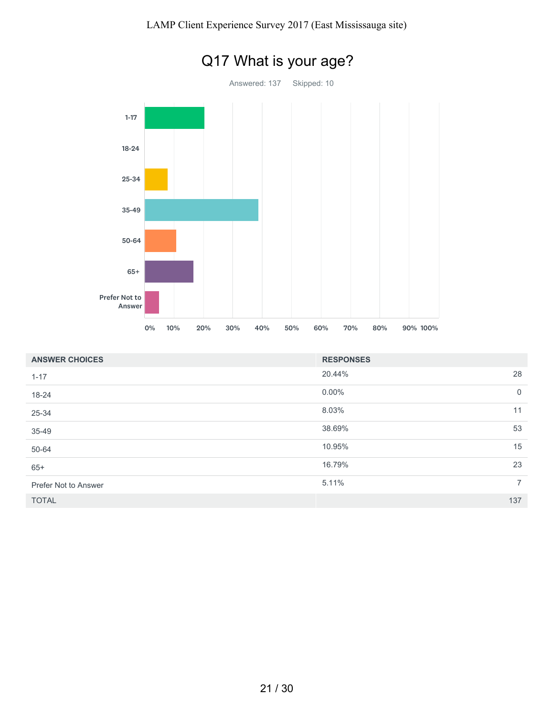

| <b>ANSWER CHOICES</b> | <b>RESPONSES</b> |                |
|-----------------------|------------------|----------------|
| $1 - 17$              | 20.44%           | 28             |
| 18-24                 | $0.00\%$         | $\overline{0}$ |
| 25-34                 | 8.03%            | 11             |
| 35-49                 | 38.69%           | 53             |
| 50-64                 | 10.95%           | 15             |
| $65+$                 | 16.79%           | 23             |
| Prefer Not to Answer  | 5.11%            | $7^{\circ}$    |
| <b>TOTAL</b>          |                  | 137            |

21 / 30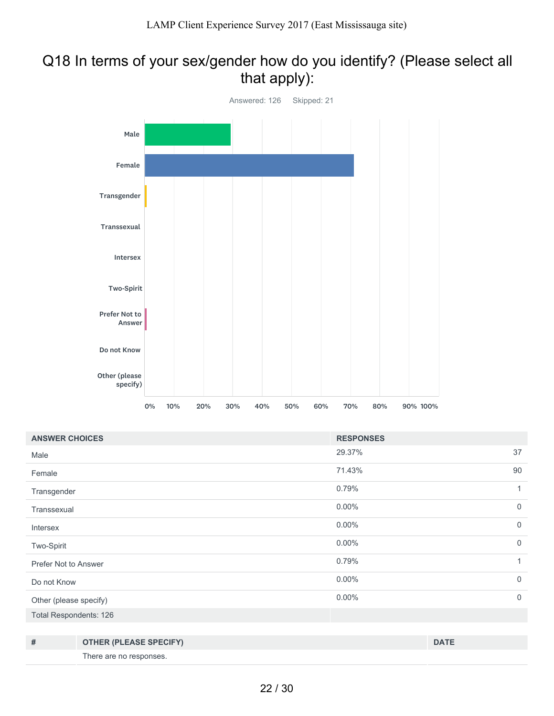### Q18 In terms of your sex/gender how do you identify? (Please select all that apply):



| <b>ANSWER CHOICES</b>         |                               | <b>RESPONSES</b> |              |
|-------------------------------|-------------------------------|------------------|--------------|
| Male                          |                               | 29.37%           | 37           |
| Female                        |                               | 71.43%           | 90           |
| Transgender                   |                               | 0.79%            | 1            |
| Transsexual                   |                               | $0.00\%$         | $\mathbf 0$  |
| Intersex                      |                               | $0.00\%$         | $\mathbf{0}$ |
| Two-Spirit                    |                               | $0.00\%$         | $\mathbf 0$  |
| Prefer Not to Answer          |                               | 0.79%            | 1            |
| Do not Know                   |                               | $0.00\%$         | $\mathbf 0$  |
| Other (please specify)        |                               | $0.00\%$         | $\mathbf 0$  |
| <b>Total Respondents: 126</b> |                               |                  |              |
|                               |                               |                  |              |
| #                             | <b>OTHER (PLEASE SPECIFY)</b> |                  | <b>DATE</b>  |

There are no responses.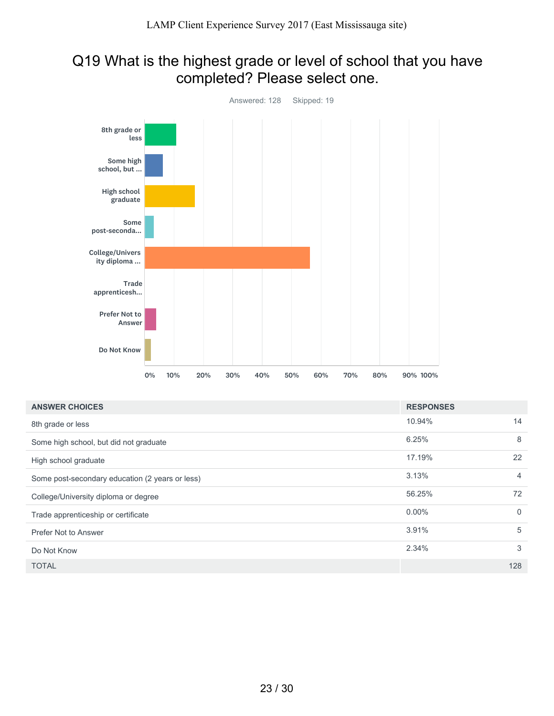### Q19 What is the highest grade or level of school that you have completed? Please select one.



| <b>ANSWER CHOICES</b>                           | <b>RESPONSES</b> |                |
|-------------------------------------------------|------------------|----------------|
| 8th grade or less                               | 10.94%           | 14             |
| Some high school, but did not graduate          | 6.25%            | 8              |
| High school graduate                            | 17.19%           | 22             |
| Some post-secondary education (2 years or less) | 3.13%            | $\overline{4}$ |
| College/University diploma or degree            | 56.25%           | 72             |
| Trade apprenticeship or certificate             | $0.00\%$         | $\mathbf{0}$   |
| Prefer Not to Answer                            | 3.91%            | 5              |
| Do Not Know                                     | 2.34%            | 3              |
| <b>TOTAL</b>                                    |                  | 128            |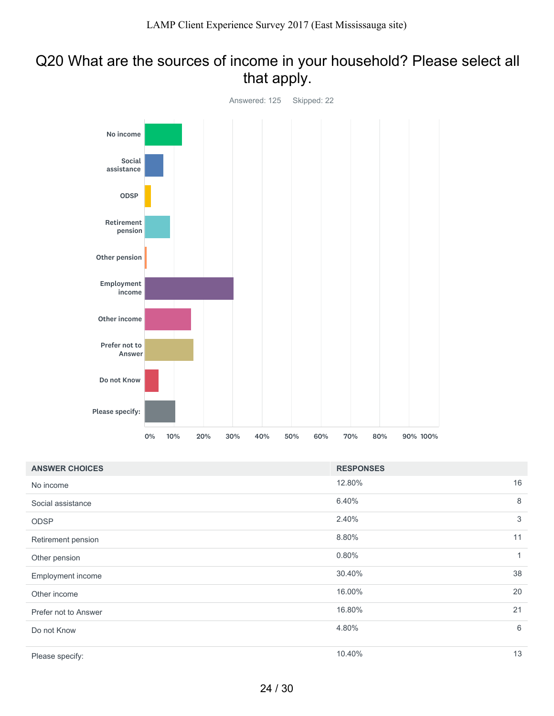## Q20 What are the sources of income in your household? Please select all that apply.



| <b>ANSWER CHOICES</b> | <b>RESPONSES</b> |    |
|-----------------------|------------------|----|
| No income             | 12.80%           | 16 |
| Social assistance     | 6.40%            | 8  |
| <b>ODSP</b>           | 2.40%            | 3  |
| Retirement pension    | 8.80%            | 11 |
| Other pension         | 0.80%            | 1  |
| Employment income     | 30.40%           | 38 |
| Other income          | 16.00%           | 20 |
| Prefer not to Answer  | 16.80%           | 21 |
| Do not Know           | 4.80%            | 6  |
| Please specify:       | 10.40%           | 13 |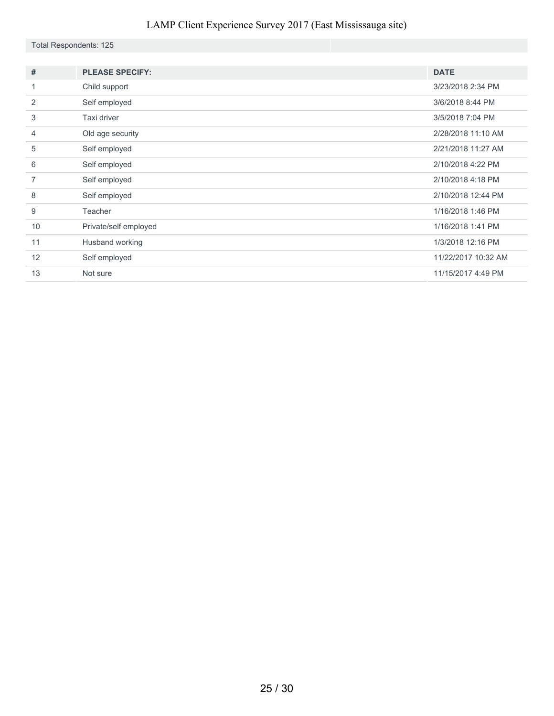|  |  | Total Respondents: 125 |  |
|--|--|------------------------|--|
|--|--|------------------------|--|

| #              | <b>PLEASE SPECIFY:</b> | <b>DATE</b>         |
|----------------|------------------------|---------------------|
| 1              | Child support          | 3/23/2018 2:34 PM   |
| 2              | Self employed          | 3/6/2018 8:44 PM    |
| 3              | Taxi driver            | 3/5/2018 7:04 PM    |
| $\overline{4}$ | Old age security       | 2/28/2018 11:10 AM  |
| 5              | Self employed          | 2/21/2018 11:27 AM  |
| 6              | Self employed          | 2/10/2018 4:22 PM   |
| 7              | Self employed          | 2/10/2018 4:18 PM   |
| 8              | Self employed          | 2/10/2018 12:44 PM  |
| 9              | Teacher                | 1/16/2018 1:46 PM   |
| 10             | Private/self employed  | 1/16/2018 1:41 PM   |
| 11             | Husband working        | 1/3/2018 12:16 PM   |
| 12             | Self employed          | 11/22/2017 10:32 AM |
| 13             | Not sure               | 11/15/2017 4:49 PM  |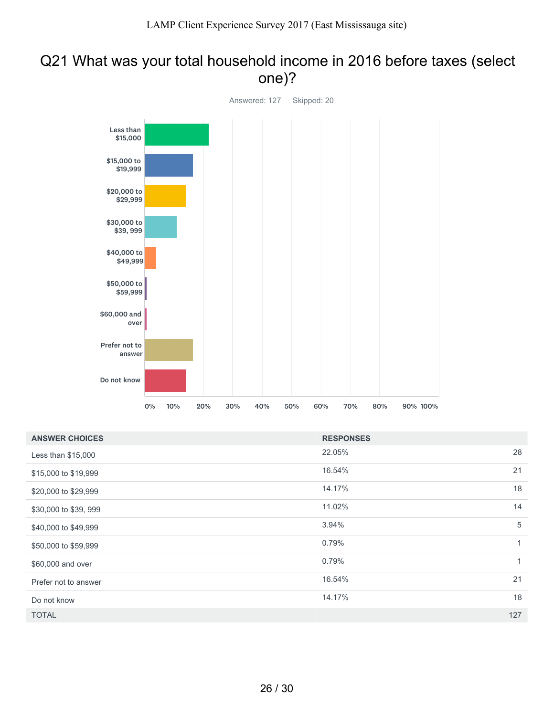### Q21 What was your total household income in 2016 before taxes (select one)?



| <b>ANSWER CHOICES</b> | <b>RESPONSES</b> |     |
|-----------------------|------------------|-----|
| Less than \$15,000    | 22.05%           | 28  |
| \$15,000 to \$19,999  | 16.54%           | 21  |
| \$20,000 to \$29,999  | 14.17%           | 18  |
| \$30,000 to \$39, 999 | 11.02%           | 14  |
| \$40,000 to \$49,999  | 3.94%            | 5   |
| \$50,000 to \$59,999  | 0.79%            | 1   |
| \$60,000 and over     | 0.79%            | 1   |
| Prefer not to answer  | 16.54%           | 21  |
| Do not know           | 14.17%           | 18  |
| <b>TOTAL</b>          |                  | 127 |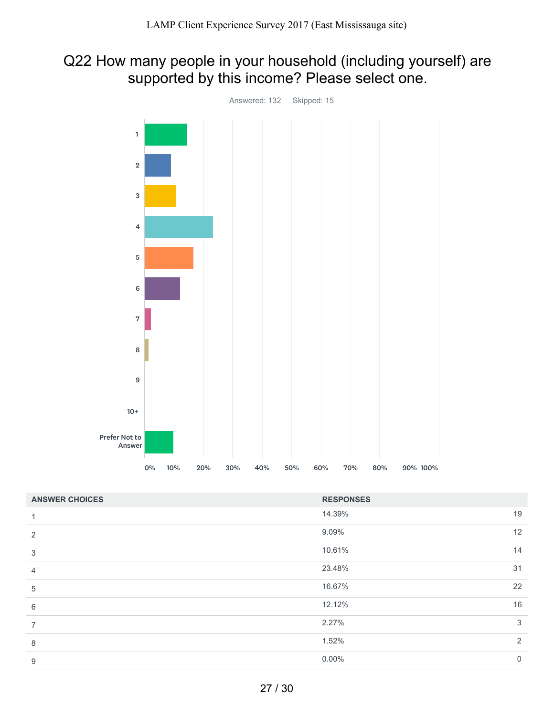# Q22 How many people in your household (including yourself) are supported by this income? Please select one.



| <b>ANSWER CHOICES</b> | <b>RESPONSES</b> |                |
|-----------------------|------------------|----------------|
| 1                     | 14.39%           | 19             |
| 2                     | 9.09%            | 12             |
| 3                     | 10.61%           | 14             |
| $\overline{4}$        | 23.48%           | 31             |
| 5                     | 16.67%           | 22             |
| 6                     | 12.12%           | 16             |
| $\overline{7}$        | 2.27%            | 3              |
| 8                     | 1.52%            | 2              |
| 9                     | $0.00\%$         | $\overline{0}$ |
|                       |                  |                |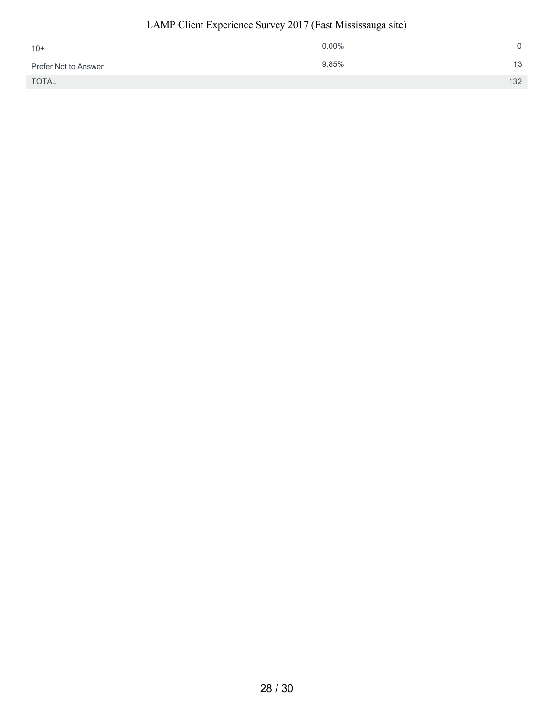| $10+$                | $0.00\%$ |     |
|----------------------|----------|-----|
| Prefer Not to Answer | 9.85%    | 13  |
| <b>TOTAL</b>         |          | 132 |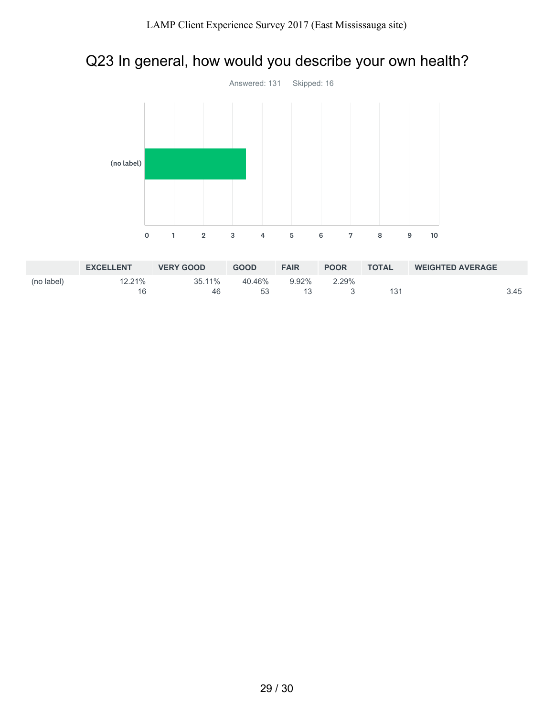# Q23 In general, how would you describe your own health?



|            | <b>EXCELLENT</b> | <b>VERY GOOD</b> | <b>GOOD</b> | <b>FAIR</b> | <b>POOR</b> | <b>TOTAL</b> | <b>WEIGHTED AVERAGE</b> |      |
|------------|------------------|------------------|-------------|-------------|-------------|--------------|-------------------------|------|
| (no label) | 12.21%           | 35.11%           | 40.46%      | 9.92%       | 2.29%       |              |                         |      |
|            |                  | 46               | 53          |             |             | 131          |                         | 3.45 |